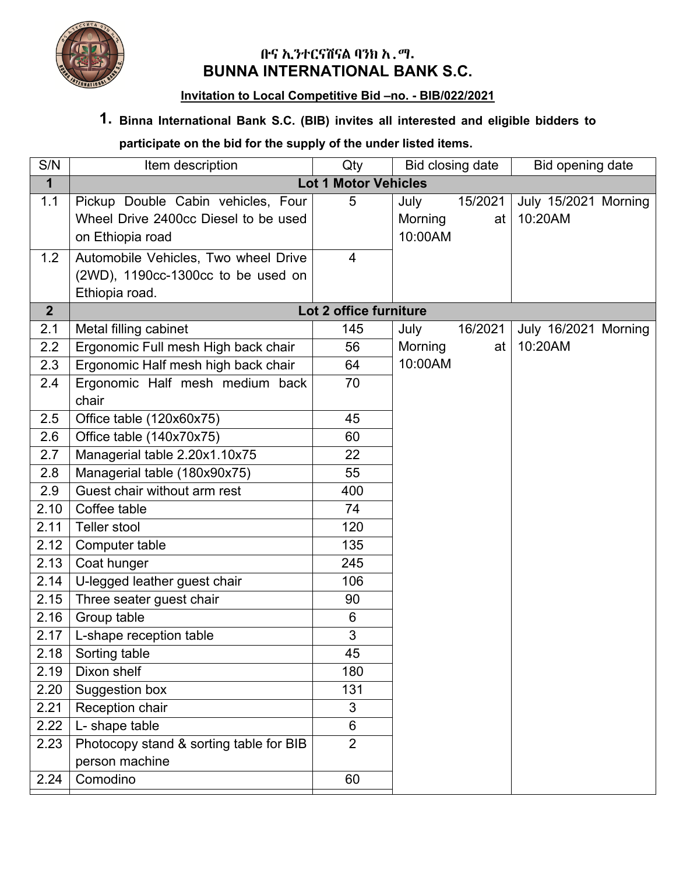

## **ቡና ኢንተርናሽናል ባንክ አ.ማ. BUNNA INTERNATIONAL BANK S.C.**

## **Invitation to Local Competitive Bid –no. - BIB/022/2021**

## **1. Binna International Bank S.C. (BIB) invites all interested and eligible bidders to**

## **participate on the bid for the supply of the under listed items.**

| S/N            | Item description                                          | Qty                    | Bid closing date |         | Bid opening date     |  |  |  |  |  |
|----------------|-----------------------------------------------------------|------------------------|------------------|---------|----------------------|--|--|--|--|--|
| $\mathbf 1$    | <b>Lot 1 Motor Vehicles</b>                               |                        |                  |         |                      |  |  |  |  |  |
| 1.1            | Pickup Double Cabin vehicles, Four                        | 5                      | July             | 15/2021 | July 15/2021 Morning |  |  |  |  |  |
|                | Wheel Drive 2400cc Diesel to be used                      |                        | Morning          | at      | 10:20AM              |  |  |  |  |  |
|                | on Ethiopia road                                          |                        | 10:00AM          |         |                      |  |  |  |  |  |
| 1.2            | Automobile Vehicles, Two wheel Drive                      | 4                      |                  |         |                      |  |  |  |  |  |
|                | (2WD), 1190cc-1300cc to be used on                        |                        |                  |         |                      |  |  |  |  |  |
|                | Ethiopia road.                                            |                        |                  |         |                      |  |  |  |  |  |
| 2 <sup>1</sup> |                                                           | Lot 2 office furniture |                  |         |                      |  |  |  |  |  |
| 2.1            | Metal filling cabinet                                     | 145                    | July             | 16/2021 | July 16/2021 Morning |  |  |  |  |  |
| 2.2            | Ergonomic Full mesh High back chair                       | 56                     | Morning          | at      | 10:20AM              |  |  |  |  |  |
| 2.3            | Ergonomic Half mesh high back chair                       | 64                     | 10:00AM          |         |                      |  |  |  |  |  |
| 2.4            | Ergonomic Half mesh medium back<br>chair                  | 70                     |                  |         |                      |  |  |  |  |  |
| 2.5            | Office table (120x60x75)                                  | 45                     |                  |         |                      |  |  |  |  |  |
| 2.6            | Office table (140x70x75)                                  | 60                     |                  |         |                      |  |  |  |  |  |
| 2.7            | Managerial table 2.20x1.10x75                             | 22                     |                  |         |                      |  |  |  |  |  |
| 2.8            | Managerial table (180x90x75)                              | 55                     |                  |         |                      |  |  |  |  |  |
| 2.9            | Guest chair without arm rest                              | 400                    |                  |         |                      |  |  |  |  |  |
| 2.10           | Coffee table                                              | 74                     |                  |         |                      |  |  |  |  |  |
| 2.11           | Teller stool                                              | 120                    |                  |         |                      |  |  |  |  |  |
| 2.12           | Computer table                                            | 135                    |                  |         |                      |  |  |  |  |  |
| 2.13           | Coat hunger                                               | 245                    |                  |         |                      |  |  |  |  |  |
| 2.14           | U-legged leather guest chair                              | 106                    |                  |         |                      |  |  |  |  |  |
| 2.15           | Three seater guest chair                                  | 90                     |                  |         |                      |  |  |  |  |  |
| 2.16           | Group table                                               | 6                      |                  |         |                      |  |  |  |  |  |
| 2.17           | L-shape reception table                                   | 3                      |                  |         |                      |  |  |  |  |  |
| 2.18           | Sorting table                                             | 45                     |                  |         |                      |  |  |  |  |  |
| 2.19           | Dixon shelf                                               | 180                    |                  |         |                      |  |  |  |  |  |
| 2.20           | Suggestion box                                            | 131                    |                  |         |                      |  |  |  |  |  |
| 2.21           | Reception chair                                           | $\mathfrak{S}$         |                  |         |                      |  |  |  |  |  |
| 2.22           | L- shape table                                            | $6\phantom{a}$         |                  |         |                      |  |  |  |  |  |
| 2.23           | Photocopy stand & sorting table for BIB<br>person machine | $\overline{2}$         |                  |         |                      |  |  |  |  |  |
| 2.24           | Comodino                                                  | 60                     |                  |         |                      |  |  |  |  |  |
|                |                                                           |                        |                  |         |                      |  |  |  |  |  |